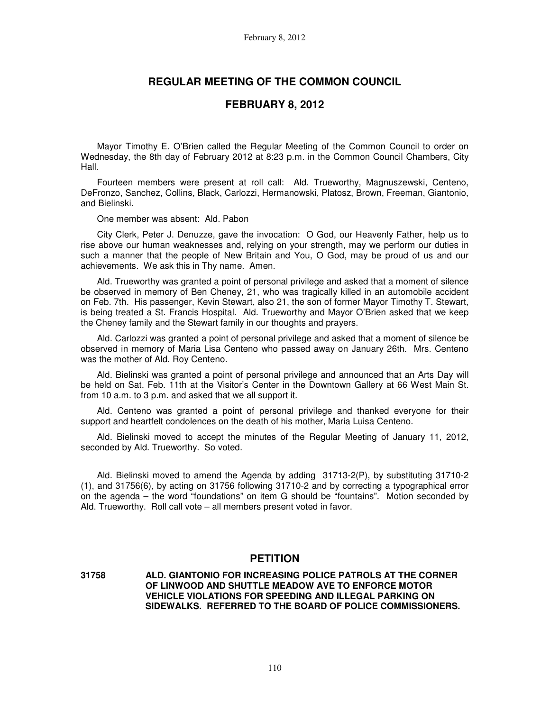### **REGULAR MEETING OF THE COMMON COUNCIL**

### **FEBRUARY 8, 2012**

Mayor Timothy E. O'Brien called the Regular Meeting of the Common Council to order on Wednesday, the 8th day of February 2012 at 8:23 p.m. in the Common Council Chambers, City Hall.

Fourteen members were present at roll call: Ald. Trueworthy, Magnuszewski, Centeno, DeFronzo, Sanchez, Collins, Black, Carlozzi, Hermanowski, Platosz, Brown, Freeman, Giantonio, and Bielinski.

One member was absent: Ald. Pabon

City Clerk, Peter J. Denuzze, gave the invocation: O God, our Heavenly Father, help us to rise above our human weaknesses and, relying on your strength, may we perform our duties in such a manner that the people of New Britain and You, O God, may be proud of us and our achievements. We ask this in Thy name. Amen.

Ald. Trueworthy was granted a point of personal privilege and asked that a moment of silence be observed in memory of Ben Cheney, 21, who was tragically killed in an automobile accident on Feb. 7th. His passenger, Kevin Stewart, also 21, the son of former Mayor Timothy T. Stewart, is being treated a St. Francis Hospital. Ald. Trueworthy and Mayor O'Brien asked that we keep the Cheney family and the Stewart family in our thoughts and prayers.

Ald. Carlozzi was granted a point of personal privilege and asked that a moment of silence be observed in memory of Maria Lisa Centeno who passed away on January 26th. Mrs. Centeno was the mother of Ald. Roy Centeno.

Ald. Bielinski was granted a point of personal privilege and announced that an Arts Day will be held on Sat. Feb. 11th at the Visitor's Center in the Downtown Gallery at 66 West Main St. from 10 a.m. to 3 p.m. and asked that we all support it.

Ald. Centeno was granted a point of personal privilege and thanked everyone for their support and heartfelt condolences on the death of his mother, Maria Luisa Centeno.

Ald. Bielinski moved to accept the minutes of the Regular Meeting of January 11, 2012, seconded by Ald. Trueworthy. So voted.

Ald. Bielinski moved to amend the Agenda by adding 31713-2(P), by substituting 31710-2 (1), and 31756(6), by acting on 31756 following 31710-2 and by correcting a typographical error on the agenda – the word "foundations" on item G should be "fountains". Motion seconded by Ald. Trueworthy. Roll call vote – all members present voted in favor.

## **PETITION**

**31758 ALD. GIANTONIO FOR INCREASING POLICE PATROLS AT THE CORNER OF LINWOOD AND SHUTTLE MEADOW AVE TO ENFORCE MOTOR VEHICLE VIOLATIONS FOR SPEEDING AND ILLEGAL PARKING ON SIDEWALKS. REFERRED TO THE BOARD OF POLICE COMMISSIONERS.**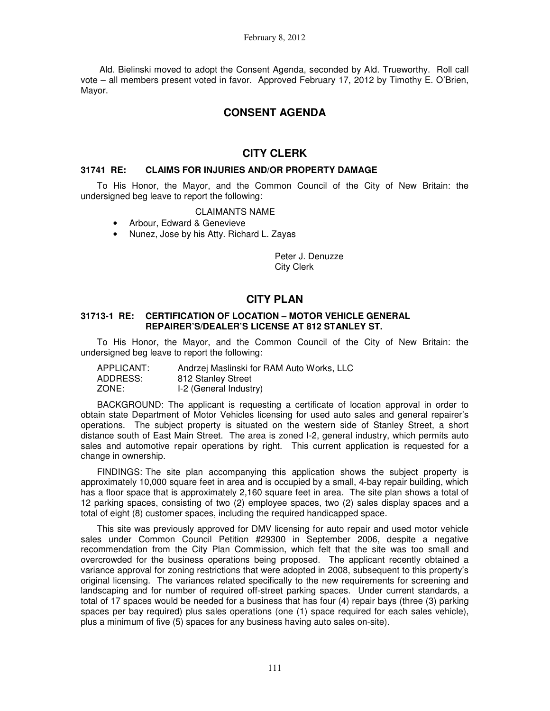Ald. Bielinski moved to adopt the Consent Agenda, seconded by Ald. Trueworthy. Roll call vote – all members present voted in favor. Approved February 17, 2012 by Timothy E. O'Brien, Mayor.

# **CONSENT AGENDA**

# **CITY CLERK**

### **31741 RE: CLAIMS FOR INJURIES AND/OR PROPERTY DAMAGE**

To His Honor, the Mayor, and the Common Council of the City of New Britain: the undersigned beg leave to report the following:

### CLAIMANTS NAME

- Arbour, Edward & Genevieve
- Nunez, Jose by his Atty. Richard L. Zayas

Peter J. Denuzze City Clerk

# **CITY PLAN**

### **31713-1 RE: CERTIFICATION OF LOCATION – MOTOR VEHICLE GENERAL REPAIRER'S/DEALER'S LICENSE AT 812 STANLEY ST.**

To His Honor, the Mayor, and the Common Council of the City of New Britain: the undersigned beg leave to report the following:

| APPLICANT: | Andrzej Maslinski for RAM Auto Works, LLC |
|------------|-------------------------------------------|
| ADDRESS:   | 812 Stanley Street                        |
| ZONE:      | I-2 (General Industry)                    |

BACKGROUND: The applicant is requesting a certificate of location approval in order to obtain state Department of Motor Vehicles licensing for used auto sales and general repairer's operations. The subject property is situated on the western side of Stanley Street, a short distance south of East Main Street. The area is zoned I-2, general industry, which permits auto sales and automotive repair operations by right. This current application is requested for a change in ownership.

FINDINGS: The site plan accompanying this application shows the subject property is approximately 10,000 square feet in area and is occupied by a small, 4-bay repair building, which has a floor space that is approximately 2,160 square feet in area. The site plan shows a total of 12 parking spaces, consisting of two (2) employee spaces, two (2) sales display spaces and a total of eight (8) customer spaces, including the required handicapped space.

This site was previously approved for DMV licensing for auto repair and used motor vehicle sales under Common Council Petition #29300 in September 2006, despite a negative recommendation from the City Plan Commission, which felt that the site was too small and overcrowded for the business operations being proposed. The applicant recently obtained a variance approval for zoning restrictions that were adopted in 2008, subsequent to this property's original licensing. The variances related specifically to the new requirements for screening and landscaping and for number of required off-street parking spaces. Under current standards, a total of 17 spaces would be needed for a business that has four (4) repair bays (three (3) parking spaces per bay required) plus sales operations (one (1) space required for each sales vehicle), plus a minimum of five (5) spaces for any business having auto sales on-site).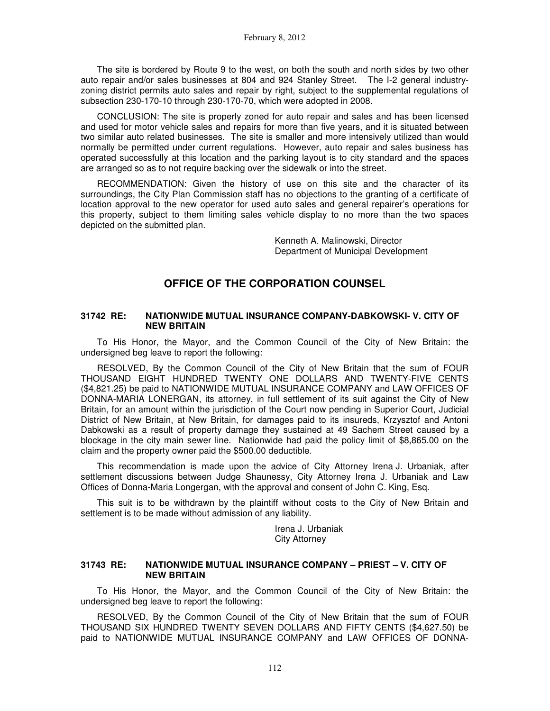The site is bordered by Route 9 to the west, on both the south and north sides by two other auto repair and/or sales businesses at 804 and 924 Stanley Street. The I-2 general industryzoning district permits auto sales and repair by right, subject to the supplemental regulations of subsection 230-170-10 through 230-170-70, which were adopted in 2008.

CONCLUSION: The site is properly zoned for auto repair and sales and has been licensed and used for motor vehicle sales and repairs for more than five years, and it is situated between two similar auto related businesses. The site is smaller and more intensively utilized than would normally be permitted under current regulations. However, auto repair and sales business has operated successfully at this location and the parking layout is to city standard and the spaces are arranged so as to not require backing over the sidewalk or into the street.

RECOMMENDATION: Given the history of use on this site and the character of its surroundings, the City Plan Commission staff has no objections to the granting of a certificate of location approval to the new operator for used auto sales and general repairer's operations for this property, subject to them limiting sales vehicle display to no more than the two spaces depicted on the submitted plan.

> Kenneth A. Malinowski, Director Department of Municipal Development

## **OFFICE OF THE CORPORATION COUNSEL**

#### **31742 RE: NATIONWIDE MUTUAL INSURANCE COMPANY-DABKOWSKI- V. CITY OF NEW BRITAIN**

To His Honor, the Mayor, and the Common Council of the City of New Britain: the undersigned beg leave to report the following:

RESOLVED, By the Common Council of the City of New Britain that the sum of FOUR THOUSAND EIGHT HUNDRED TWENTY ONE DOLLARS AND TWENTY-FIVE CENTS (\$4,821.25) be paid to NATIONWIDE MUTUAL INSURANCE COMPANY and LAW OFFICES OF DONNA-MARIA LONERGAN, its attorney, in full settlement of its suit against the City of New Britain, for an amount within the jurisdiction of the Court now pending in Superior Court, Judicial District of New Britain, at New Britain, for damages paid to its insureds, Krzysztof and Antoni Dabkowski as a result of property damage they sustained at 49 Sachem Street caused by a blockage in the city main sewer line. Nationwide had paid the policy limit of \$8,865.00 on the claim and the property owner paid the \$500.00 deductible.

This recommendation is made upon the advice of City Attorney Irena J. Urbaniak, after settlement discussions between Judge Shaunessy, City Attorney Irena J. Urbaniak and Law Offices of Donna-Maria Longergan, with the approval and consent of John C. King, Esq.

This suit is to be withdrawn by the plaintiff without costs to the City of New Britain and settlement is to be made without admission of any liability.

> Irena J. Urbaniak City Attorney

#### **31743 RE: NATIONWIDE MUTUAL INSURANCE COMPANY – PRIEST – V. CITY OF NEW BRITAIN**

To His Honor, the Mayor, and the Common Council of the City of New Britain: the undersigned beg leave to report the following:

RESOLVED, By the Common Council of the City of New Britain that the sum of FOUR THOUSAND SIX HUNDRED TWENTY SEVEN DOLLARS AND FIFTY CENTS (\$4,627.50) be paid to NATIONWIDE MUTUAL INSURANCE COMPANY and LAW OFFICES OF DONNA-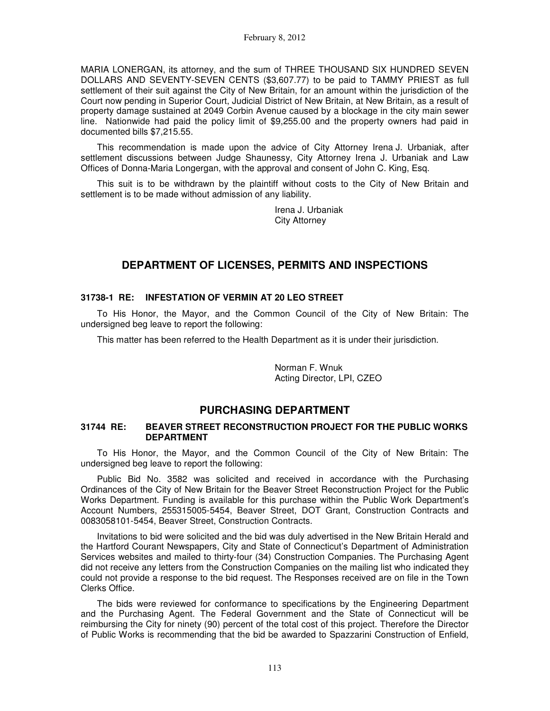MARIA LONERGAN, its attorney, and the sum of THREE THOUSAND SIX HUNDRED SEVEN DOLLARS AND SEVENTY-SEVEN CENTS (\$3,607.77) to be paid to TAMMY PRIEST as full settlement of their suit against the City of New Britain, for an amount within the jurisdiction of the Court now pending in Superior Court, Judicial District of New Britain, at New Britain, as a result of property damage sustained at 2049 Corbin Avenue caused by a blockage in the city main sewer line. Nationwide had paid the policy limit of \$9,255.00 and the property owners had paid in documented bills \$7,215.55.

This recommendation is made upon the advice of City Attorney Irena J. Urbaniak, after settlement discussions between Judge Shaunessy, City Attorney Irena J. Urbaniak and Law Offices of Donna-Maria Longergan, with the approval and consent of John C. King, Esq.

This suit is to be withdrawn by the plaintiff without costs to the City of New Britain and settlement is to be made without admission of any liability.

> Irena J. Urbaniak City Attorney

# **DEPARTMENT OF LICENSES, PERMITS AND INSPECTIONS**

### **31738-1 RE: INFESTATION OF VERMIN AT 20 LEO STREET**

To His Honor, the Mayor, and the Common Council of the City of New Britain: The undersigned beg leave to report the following:

This matter has been referred to the Health Department as it is under their jurisdiction.

Norman F. Wnuk Acting Director, LPI, CZEO

# **PURCHASING DEPARTMENT**

### **31744 RE: BEAVER STREET RECONSTRUCTION PROJECT FOR THE PUBLIC WORKS DEPARTMENT**

To His Honor, the Mayor, and the Common Council of the City of New Britain: The undersigned beg leave to report the following:

Public Bid No. 3582 was solicited and received in accordance with the Purchasing Ordinances of the City of New Britain for the Beaver Street Reconstruction Project for the Public Works Department. Funding is available for this purchase within the Public Work Department's Account Numbers, 255315005-5454, Beaver Street, DOT Grant, Construction Contracts and 0083058101-5454, Beaver Street, Construction Contracts.

Invitations to bid were solicited and the bid was duly advertised in the New Britain Herald and the Hartford Courant Newspapers, City and State of Connecticut's Department of Administration Services websites and mailed to thirty-four (34) Construction Companies. The Purchasing Agent did not receive any letters from the Construction Companies on the mailing list who indicated they could not provide a response to the bid request. The Responses received are on file in the Town Clerks Office.

The bids were reviewed for conformance to specifications by the Engineering Department and the Purchasing Agent. The Federal Government and the State of Connecticut will be reimbursing the City for ninety (90) percent of the total cost of this project. Therefore the Director of Public Works is recommending that the bid be awarded to Spazzarini Construction of Enfield,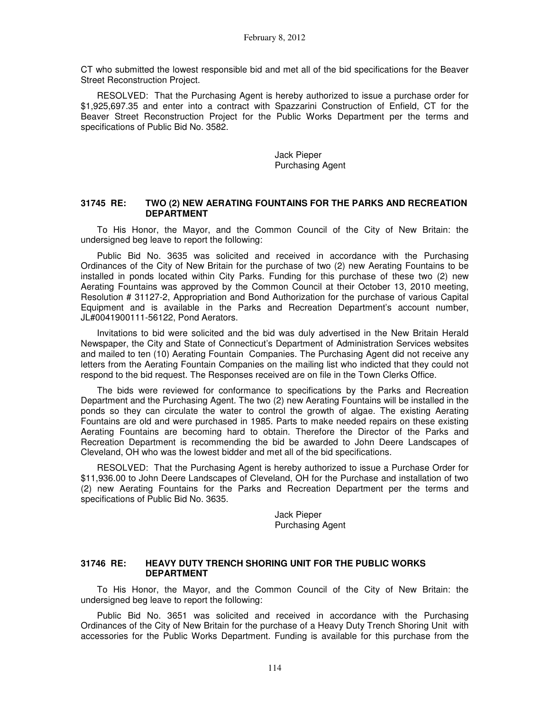CT who submitted the lowest responsible bid and met all of the bid specifications for the Beaver Street Reconstruction Project.

RESOLVED: That the Purchasing Agent is hereby authorized to issue a purchase order for \$1,925,697.35 and enter into a contract with Spazzarini Construction of Enfield, CT for the Beaver Street Reconstruction Project for the Public Works Department per the terms and specifications of Public Bid No. 3582.

> Jack Pieper Purchasing Agent

#### **31745 RE: TWO (2) NEW AERATING FOUNTAINS FOR THE PARKS AND RECREATION DEPARTMENT**

To His Honor, the Mayor, and the Common Council of the City of New Britain: the undersigned beg leave to report the following:

Public Bid No. 3635 was solicited and received in accordance with the Purchasing Ordinances of the City of New Britain for the purchase of two (2) new Aerating Fountains to be installed in ponds located within City Parks. Funding for this purchase of these two (2) new Aerating Fountains was approved by the Common Council at their October 13, 2010 meeting, Resolution # 31127-2, Appropriation and Bond Authorization for the purchase of various Capital Equipment and is available in the Parks and Recreation Department's account number, JL#0041900111-56122, Pond Aerators.

Invitations to bid were solicited and the bid was duly advertised in the New Britain Herald Newspaper, the City and State of Connecticut's Department of Administration Services websites and mailed to ten (10) Aerating Fountain Companies. The Purchasing Agent did not receive any letters from the Aerating Fountain Companies on the mailing list who indicted that they could not respond to the bid request. The Responses received are on file in the Town Clerks Office.

The bids were reviewed for conformance to specifications by the Parks and Recreation Department and the Purchasing Agent. The two (2) new Aerating Fountains will be installed in the ponds so they can circulate the water to control the growth of algae. The existing Aerating Fountains are old and were purchased in 1985. Parts to make needed repairs on these existing Aerating Fountains are becoming hard to obtain. Therefore the Director of the Parks and Recreation Department is recommending the bid be awarded to John Deere Landscapes of Cleveland, OH who was the lowest bidder and met all of the bid specifications.

RESOLVED: That the Purchasing Agent is hereby authorized to issue a Purchase Order for \$11,936.00 to John Deere Landscapes of Cleveland, OH for the Purchase and installation of two (2) new Aerating Fountains for the Parks and Recreation Department per the terms and specifications of Public Bid No. 3635.

> Jack Pieper Purchasing Agent

### **31746 RE: HEAVY DUTY TRENCH SHORING UNIT FOR THE PUBLIC WORKS DEPARTMENT**

To His Honor, the Mayor, and the Common Council of the City of New Britain: the undersigned beg leave to report the following:

Public Bid No. 3651 was solicited and received in accordance with the Purchasing Ordinances of the City of New Britain for the purchase of a Heavy Duty Trench Shoring Unit with accessories for the Public Works Department. Funding is available for this purchase from the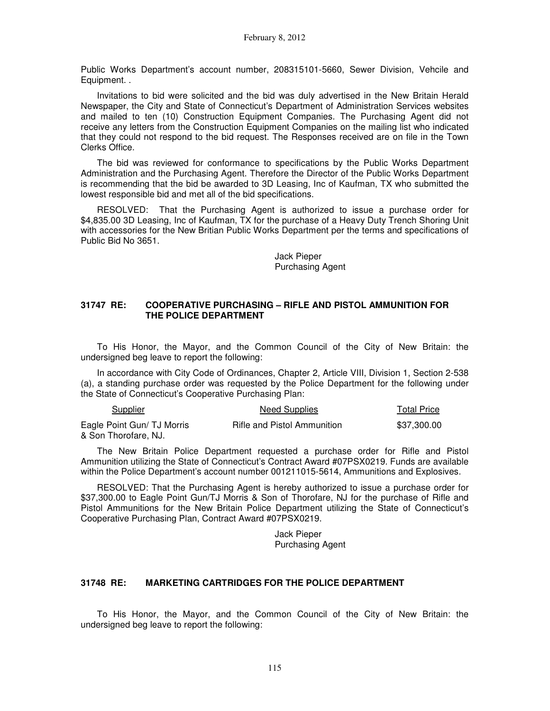Public Works Department's account number, 208315101-5660, Sewer Division, Vehcile and Equipment. .

Invitations to bid were solicited and the bid was duly advertised in the New Britain Herald Newspaper, the City and State of Connecticut's Department of Administration Services websites and mailed to ten (10) Construction Equipment Companies. The Purchasing Agent did not receive any letters from the Construction Equipment Companies on the mailing list who indicated that they could not respond to the bid request. The Responses received are on file in the Town Clerks Office.

The bid was reviewed for conformance to specifications by the Public Works Department Administration and the Purchasing Agent. Therefore the Director of the Public Works Department is recommending that the bid be awarded to 3D Leasing, Inc of Kaufman, TX who submitted the lowest responsible bid and met all of the bid specifications.

RESOLVED: That the Purchasing Agent is authorized to issue a purchase order for \$4,835.00 3D Leasing, Inc of Kaufman, TX for the purchase of a Heavy Duty Trench Shoring Unit with accessories for the New Britian Public Works Department per the terms and specifications of Public Bid No 3651.

> Jack Pieper Purchasing Agent

#### **31747 RE: COOPERATIVE PURCHASING – RIFLE AND PISTOL AMMUNITION FOR THE POLICE DEPARTMENT**

To His Honor, the Mayor, and the Common Council of the City of New Britain: the undersigned beg leave to report the following:

In accordance with City Code of Ordinances, Chapter 2, Article VIII, Division 1, Section 2-538 (a), a standing purchase order was requested by the Police Department for the following under the State of Connecticut's Cooperative Purchasing Plan:

| Supplier                   | Need Supplies               | <b>Total Price</b> |  |
|----------------------------|-----------------------------|--------------------|--|
| Eagle Point Gun/ TJ Morris | Rifle and Pistol Ammunition | \$37.300.00        |  |
| & Son Thorofare. NJ.       |                             |                    |  |

The New Britain Police Department requested a purchase order for Rifle and Pistol Ammunition utilizing the State of Connecticut's Contract Award #07PSX0219. Funds are available within the Police Department's account number 001211015-5614, Ammunitions and Explosives.

RESOLVED: That the Purchasing Agent is hereby authorized to issue a purchase order for \$37,300.00 to Eagle Point Gun/TJ Morris & Son of Thorofare, NJ for the purchase of Rifle and Pistol Ammunitions for the New Britain Police Department utilizing the State of Connecticut's Cooperative Purchasing Plan, Contract Award #07PSX0219.

> Jack Pieper Purchasing Agent

### **31748 RE: MARKETING CARTRIDGES FOR THE POLICE DEPARTMENT**

To His Honor, the Mayor, and the Common Council of the City of New Britain: the undersigned beg leave to report the following: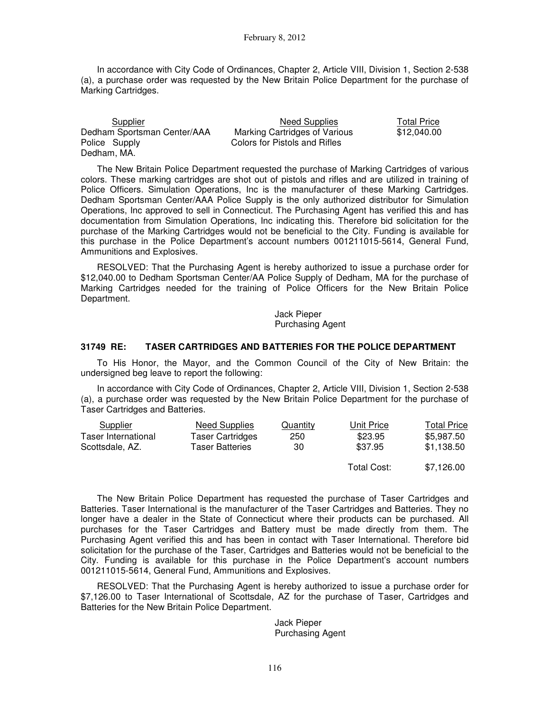In accordance with City Code of Ordinances, Chapter 2, Article VIII, Division 1, Section 2-538 (a), a purchase order was requested by the New Britain Police Department for the purchase of Marking Cartridges.

| Supplier                    | Need Supplies                 | <b>Total Price</b> |
|-----------------------------|-------------------------------|--------------------|
| Dedham Sportsman Center/AAA | Marking Cartridges of Various | \$12,040.00        |
| Police Supply               | Colors for Pistols and Rifles |                    |
| Dedham, MA.                 |                               |                    |

The New Britain Police Department requested the purchase of Marking Cartridges of various colors. These marking cartridges are shot out of pistols and rifles and are utilized in training of Police Officers. Simulation Operations, Inc is the manufacturer of these Marking Cartridges. Dedham Sportsman Center/AAA Police Supply is the only authorized distributor for Simulation Operations, Inc approved to sell in Connecticut. The Purchasing Agent has verified this and has documentation from Simulation Operations, Inc indicating this. Therefore bid solicitation for the purchase of the Marking Cartridges would not be beneficial to the City. Funding is available for this purchase in the Police Department's account numbers 001211015-5614, General Fund, Ammunitions and Explosives.

RESOLVED: That the Purchasing Agent is hereby authorized to issue a purchase order for \$12,040.00 to Dedham Sportsman Center/AA Police Supply of Dedham, MA for the purchase of Marking Cartridges needed for the training of Police Officers for the New Britain Police Department.

> Jack Pieper Purchasing Agent

### **31749 RE: TASER CARTRIDGES AND BATTERIES FOR THE POLICE DEPARTMENT**

To His Honor, the Mayor, and the Common Council of the City of New Britain: the undersigned beg leave to report the following:

In accordance with City Code of Ordinances, Chapter 2, Article VIII, Division 1, Section 2-538 (a), a purchase order was requested by the New Britain Police Department for the purchase of Taser Cartridges and Batteries.

| Supplier            | Need Supplies           | Quantity | Unit Price  | <b>Total Price</b> |
|---------------------|-------------------------|----------|-------------|--------------------|
| Taser International | <b>Taser Cartridges</b> | 250      | \$23.95     | \$5.987.50         |
| Scottsdale, AZ.     | Taser Batteries         | 30       | \$37.95     | \$1.138.50         |
|                     |                         |          | Total Cost: | \$7.126.00         |

The New Britain Police Department has requested the purchase of Taser Cartridges and Batteries. Taser International is the manufacturer of the Taser Cartridges and Batteries. They no longer have a dealer in the State of Connecticut where their products can be purchased. All purchases for the Taser Cartridges and Battery must be made directly from them. The Purchasing Agent verified this and has been in contact with Taser International. Therefore bid solicitation for the purchase of the Taser, Cartridges and Batteries would not be beneficial to the City. Funding is available for this purchase in the Police Department's account numbers 001211015-5614, General Fund, Ammunitions and Explosives.

RESOLVED: That the Purchasing Agent is hereby authorized to issue a purchase order for \$7,126.00 to Taser International of Scottsdale, AZ for the purchase of Taser, Cartridges and Batteries for the New Britain Police Department.

> Jack Pieper Purchasing Agent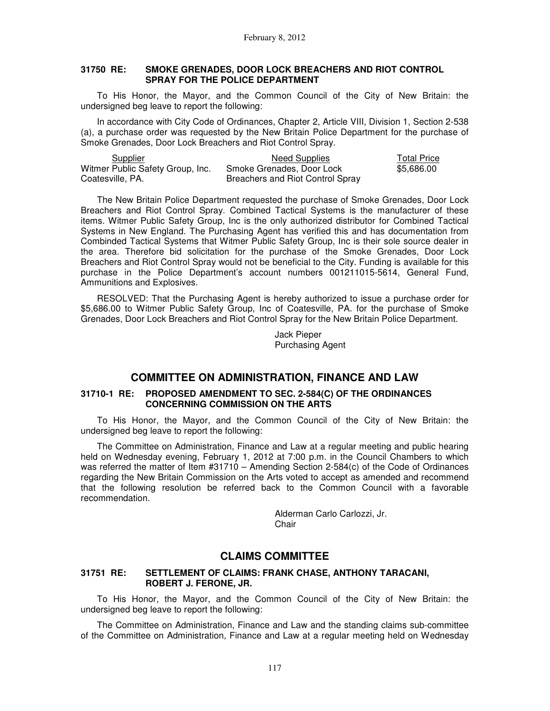#### **31750 RE: SMOKE GRENADES, DOOR LOCK BREACHERS AND RIOT CONTROL SPRAY FOR THE POLICE DEPARTMENT**

To His Honor, the Mayor, and the Common Council of the City of New Britain: the undersigned beg leave to report the following:

In accordance with City Code of Ordinances, Chapter 2, Article VIII, Division 1, Section 2-538 (a), a purchase order was requested by the New Britain Police Department for the purchase of Smoke Grenades, Door Lock Breachers and Riot Control Spray.

| Supplier                         | Need Supplies                    | <b>Total Price</b> |
|----------------------------------|----------------------------------|--------------------|
| Witmer Public Safety Group, Inc. | Smoke Grenades, Door Lock        | \$5.686.00         |
| Coatesville, PA.                 | Breachers and Riot Control Spray |                    |

The New Britain Police Department requested the purchase of Smoke Grenades, Door Lock Breachers and Riot Control Spray. Combined Tactical Systems is the manufacturer of these items. Witmer Public Safety Group, Inc is the only authorized distributor for Combined Tactical Systems in New England. The Purchasing Agent has verified this and has documentation from Combinded Tactical Systems that Witmer Public Safety Group, Inc is their sole source dealer in the area. Therefore bid solicitation for the purchase of the Smoke Grenades, Door Lock Breachers and Riot Control Spray would not be beneficial to the City. Funding is available for this purchase in the Police Department's account numbers 001211015-5614, General Fund, Ammunitions and Explosives.

RESOLVED: That the Purchasing Agent is hereby authorized to issue a purchase order for \$5,686.00 to Witmer Public Safety Group, Inc of Coatesville, PA. for the purchase of Smoke Grenades, Door Lock Breachers and Riot Control Spray for the New Britain Police Department.

> Jack Pieper Purchasing Agent

### **COMMITTEE ON ADMINISTRATION, FINANCE AND LAW**

### **31710-1 RE: PROPOSED AMENDMENT TO SEC. 2-584(C) OF THE ORDINANCES CONCERNING COMMISSION ON THE ARTS**

To His Honor, the Mayor, and the Common Council of the City of New Britain: the undersigned beg leave to report the following:

The Committee on Administration, Finance and Law at a regular meeting and public hearing held on Wednesday evening, February 1, 2012 at 7:00 p.m. in the Council Chambers to which was referred the matter of Item #31710 – Amending Section 2-584(c) of the Code of Ordinances regarding the New Britain Commission on the Arts voted to accept as amended and recommend that the following resolution be referred back to the Common Council with a favorable recommendation.

> Alderman Carlo Carlozzi, Jr. **Chair**

### **CLAIMS COMMITTEE**

### **31751 RE: SETTLEMENT OF CLAIMS: FRANK CHASE, ANTHONY TARACANI, ROBERT J. FERONE, JR.**

To His Honor, the Mayor, and the Common Council of the City of New Britain: the undersigned beg leave to report the following:

The Committee on Administration, Finance and Law and the standing claims sub-committee of the Committee on Administration, Finance and Law at a regular meeting held on Wednesday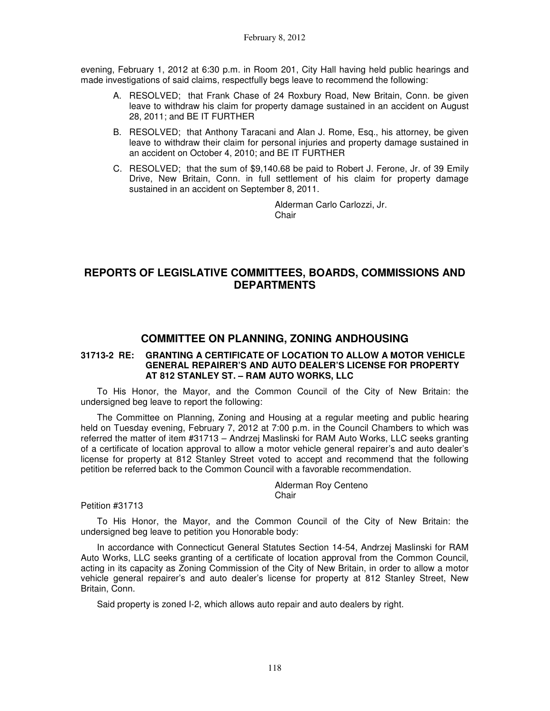evening, February 1, 2012 at 6:30 p.m. in Room 201, City Hall having held public hearings and made investigations of said claims, respectfully begs leave to recommend the following:

- A. RESOLVED; that Frank Chase of 24 Roxbury Road, New Britain, Conn. be given leave to withdraw his claim for property damage sustained in an accident on August 28, 2011; and BE IT FURTHER
- B. RESOLVED; that Anthony Taracani and Alan J. Rome, Esq., his attorney, be given leave to withdraw their claim for personal injuries and property damage sustained in an accident on October 4, 2010; and BE IT FURTHER
- C. RESOLVED; that the sum of \$9,140.68 be paid to Robert J. Ferone, Jr. of 39 Emily Drive, New Britain, Conn. in full settlement of his claim for property damage sustained in an accident on September 8, 2011.

Alderman Carlo Carlozzi, Jr. Chair

# **REPORTS OF LEGISLATIVE COMMITTEES, BOARDS, COMMISSIONS AND DEPARTMENTS**

## **COMMITTEE ON PLANNING, ZONING ANDHOUSING**

### **31713-2 RE: GRANTING A CERTIFICATE OF LOCATION TO ALLOW A MOTOR VEHICLE GENERAL REPAIRER'S AND AUTO DEALER'S LICENSE FOR PROPERTY AT 812 STANLEY ST. – RAM AUTO WORKS, LLC**

To His Honor, the Mayor, and the Common Council of the City of New Britain: the undersigned beg leave to report the following:

The Committee on Planning, Zoning and Housing at a regular meeting and public hearing held on Tuesday evening, February 7, 2012 at 7:00 p.m. in the Council Chambers to which was referred the matter of item #31713 – Andrzej Maslinski for RAM Auto Works, LLC seeks granting of a certificate of location approval to allow a motor vehicle general repairer's and auto dealer's license for property at 812 Stanley Street voted to accept and recommend that the following petition be referred back to the Common Council with a favorable recommendation.

#### Alderman Roy Centeno **Chair**

Petition #31713

To His Honor, the Mayor, and the Common Council of the City of New Britain: the undersigned beg leave to petition you Honorable body:

In accordance with Connecticut General Statutes Section 14-54, Andrzej Maslinski for RAM Auto Works, LLC seeks granting of a certificate of location approval from the Common Council, acting in its capacity as Zoning Commission of the City of New Britain, in order to allow a motor vehicle general repairer's and auto dealer's license for property at 812 Stanley Street, New Britain, Conn.

Said property is zoned I-2, which allows auto repair and auto dealers by right.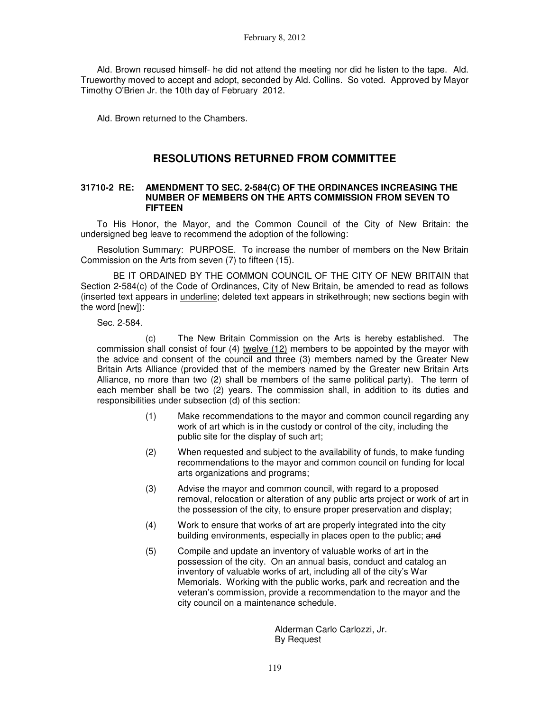Ald. Brown recused himself- he did not attend the meeting nor did he listen to the tape. Ald. Trueworthy moved to accept and adopt, seconded by Ald. Collins. So voted. Approved by Mayor Timothy O'Brien Jr. the 10th day of February 2012.

Ald. Brown returned to the Chambers.

# **RESOLUTIONS RETURNED FROM COMMITTEE**

#### **31710-2 RE: AMENDMENT TO SEC. 2-584(C) OF THE ORDINANCES INCREASING THE NUMBER OF MEMBERS ON THE ARTS COMMISSION FROM SEVEN TO FIFTEEN**

To His Honor, the Mayor, and the Common Council of the City of New Britain: the undersigned beg leave to recommend the adoption of the following:

Resolution Summary: PURPOSE. To increase the number of members on the New Britain Commission on the Arts from seven (7) to fifteen (15).

 BE IT ORDAINED BY THE COMMON COUNCIL OF THE CITY OF NEW BRITAIN that Section 2-584(c) of the Code of Ordinances, City of New Britain, be amended to read as follows (inserted text appears in *underline*; deleted text appears in strikethrough; new sections begin with the word [new]):

Sec. 2-584.

 (c) The New Britain Commission on the Arts is hereby established. The commission shall consist of  $f_{\text{out}}(4)$  twelve (12) members to be appointed by the mayor with the advice and consent of the council and three (3) members named by the Greater New Britain Arts Alliance (provided that of the members named by the Greater new Britain Arts Alliance, no more than two (2) shall be members of the same political party). The term of each member shall be two (2) years. The commission shall, in addition to its duties and responsibilities under subsection (d) of this section:

- (1) Make recommendations to the mayor and common council regarding any work of art which is in the custody or control of the city, including the public site for the display of such art;
- (2) When requested and subject to the availability of funds, to make funding recommendations to the mayor and common council on funding for local arts organizations and programs;
- (3) Advise the mayor and common council, with regard to a proposed removal, relocation or alteration of any public arts project or work of art in the possession of the city, to ensure proper preservation and display;
- (4) Work to ensure that works of art are properly integrated into the city building environments, especially in places open to the public; and
- (5) Compile and update an inventory of valuable works of art in the possession of the city. On an annual basis, conduct and catalog an inventory of valuable works of art, including all of the city's War Memorials. Working with the public works, park and recreation and the veteran's commission, provide a recommendation to the mayor and the city council on a maintenance schedule.

Alderman Carlo Carlozzi, Jr. By Request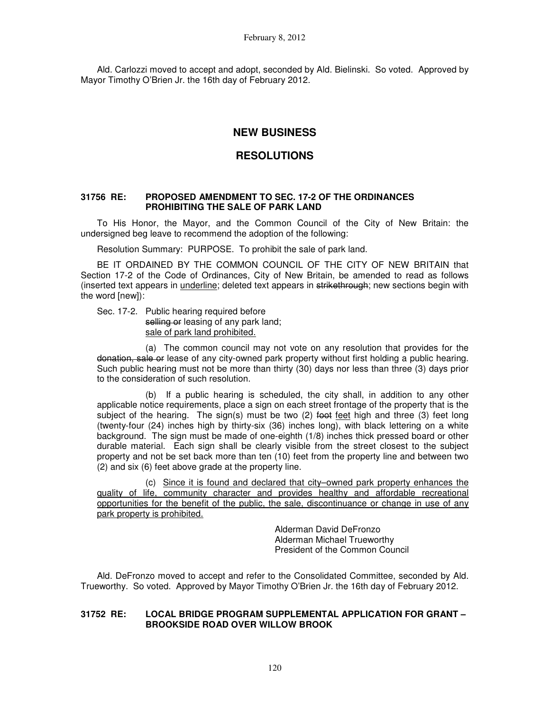Ald. Carlozzi moved to accept and adopt, seconded by Ald. Bielinski. So voted. Approved by Mayor Timothy O'Brien Jr. the 16th day of February 2012.

# **NEW BUSINESS**

## **RESOLUTIONS**

#### **31756 RE: PROPOSED AMENDMENT TO SEC. 17-2 OF THE ORDINANCES PROHIBITING THE SALE OF PARK LAND**

To His Honor, the Mayor, and the Common Council of the City of New Britain: the undersigned beg leave to recommend the adoption of the following:

Resolution Summary: PURPOSE. To prohibit the sale of park land.

BE IT ORDAINED BY THE COMMON COUNCIL OF THE CITY OF NEW BRITAIN that Section 17-2 of the Code of Ordinances, City of New Britain, be amended to read as follows (inserted text appears in underline; deleted text appears in strikethrough; new sections begin with the word [new]):

Sec. 17-2. Public hearing required before selling or leasing of any park land; sale of park land prohibited.

 (a) The common council may not vote on any resolution that provides for the donation, sale or lease of any city-owned park property without first holding a public hearing. Such public hearing must not be more than thirty (30) days nor less than three (3) days prior to the consideration of such resolution.

 (b) If a public hearing is scheduled, the city shall, in addition to any other applicable notice requirements, place a sign on each street frontage of the property that is the subject of the hearing. The sign(s) must be two  $(2)$  foot feet high and three  $(3)$  feet long (twenty-four (24) inches high by thirty-six (36) inches long), with black lettering on a white background. The sign must be made of one-eighth (1/8) inches thick pressed board or other durable material. Each sign shall be clearly visible from the street closest to the subject property and not be set back more than ten (10) feet from the property line and between two (2) and six (6) feet above grade at the property line.

 (c) Since it is found and declared that city–owned park property enhances the quality of life, community character and provides healthy and affordable recreational opportunities for the benefit of the public, the sale, discontinuance or change in use of any park property is prohibited.

> Alderman David DeFronzo Alderman Michael Trueworthy President of the Common Council

Ald. DeFronzo moved to accept and refer to the Consolidated Committee, seconded by Ald. Trueworthy. So voted. Approved by Mayor Timothy O'Brien Jr. the 16th day of February 2012.

#### **31752 RE: LOCAL BRIDGE PROGRAM SUPPLEMENTAL APPLICATION FOR GRANT – BROOKSIDE ROAD OVER WILLOW BROOK**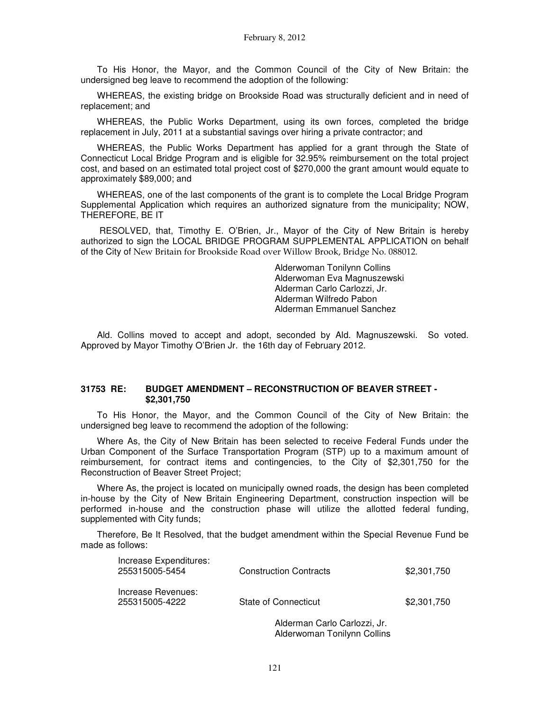To His Honor, the Mayor, and the Common Council of the City of New Britain: the undersigned beg leave to recommend the adoption of the following:

WHEREAS, the existing bridge on Brookside Road was structurally deficient and in need of replacement; and

WHEREAS, the Public Works Department, using its own forces, completed the bridge replacement in July, 2011 at a substantial savings over hiring a private contractor; and

WHEREAS, the Public Works Department has applied for a grant through the State of Connecticut Local Bridge Program and is eligible for 32.95% reimbursement on the total project cost, and based on an estimated total project cost of \$270,000 the grant amount would equate to approximately \$89,000; and

WHEREAS, one of the last components of the grant is to complete the Local Bridge Program Supplemental Application which requires an authorized signature from the municipality; NOW, THEREFORE, BE IT

 RESOLVED, that, Timothy E. O'Brien, Jr., Mayor of the City of New Britain is hereby authorized to sign the LOCAL BRIDGE PROGRAM SUPPLEMENTAL APPLICATION on behalf of the City of New Britain for Brookside Road over Willow Brook, Bridge No. 088012.

> Alderwoman Tonilynn Collins Alderwoman Eva Magnuszewski Alderman Carlo Carlozzi, Jr. Alderman Wilfredo Pabon Alderman Emmanuel Sanchez

Ald. Collins moved to accept and adopt, seconded by Ald. Magnuszewski. So voted. Approved by Mayor Timothy O'Brien Jr. the 16th day of February 2012.

#### **31753 RE: BUDGET AMENDMENT – RECONSTRUCTION OF BEAVER STREET - \$2,301,750**

To His Honor, the Mayor, and the Common Council of the City of New Britain: the undersigned beg leave to recommend the adoption of the following:

Where As, the City of New Britain has been selected to receive Federal Funds under the Urban Component of the Surface Transportation Program (STP) up to a maximum amount of reimbursement, for contract items and contingencies, to the City of \$2,301,750 for the Reconstruction of Beaver Street Project;

Where As, the project is located on municipally owned roads, the design has been completed in-house by the City of New Britain Engineering Department, construction inspection will be performed in-house and the construction phase will utilize the allotted federal funding, supplemented with City funds;

Therefore, Be It Resolved, that the budget amendment within the Special Revenue Fund be made as follows:

| Increase Expenditures:<br>255315005-5454 | <b>Construction Contracts</b> | \$2,301,750 |
|------------------------------------------|-------------------------------|-------------|
| Increase Revenues:<br>255315005-4222     | State of Connecticut          | \$2,301,750 |

Alderman Carlo Carlozzi, Jr. Alderwoman Tonilynn Collins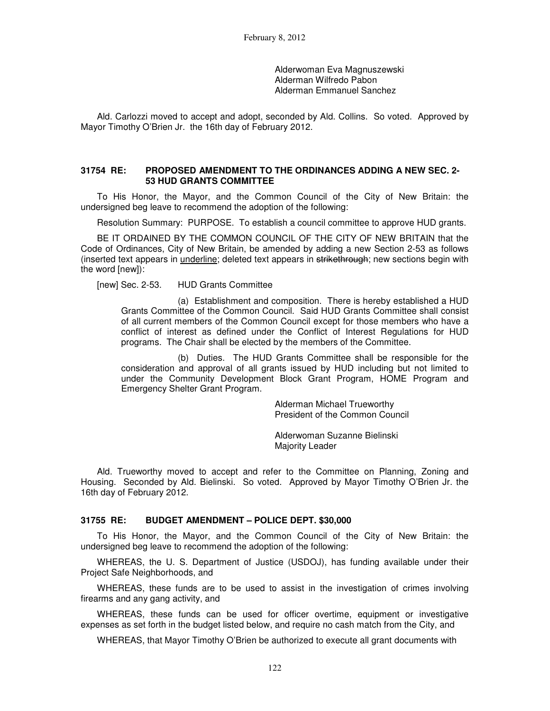Alderwoman Eva Magnuszewski Alderman Wilfredo Pabon Alderman Emmanuel Sanchez

Ald. Carlozzi moved to accept and adopt, seconded by Ald. Collins. So voted. Approved by Mayor Timothy O'Brien Jr. the 16th day of February 2012.

#### **31754 RE: PROPOSED AMENDMENT TO THE ORDINANCES ADDING A NEW SEC. 2- 53 HUD GRANTS COMMITTEE**

To His Honor, the Mayor, and the Common Council of the City of New Britain: the undersigned beg leave to recommend the adoption of the following:

Resolution Summary: PURPOSE. To establish a council committee to approve HUD grants.

BE IT ORDAINED BY THE COMMON COUNCIL OF THE CITY OF NEW BRITAIN that the Code of Ordinances, City of New Britain, be amended by adding a new Section 2-53 as follows (inserted text appears in underline; deleted text appears in strikethrough; new sections begin with the word [new]):

[new] Sec. 2-53. HUD Grants Committee

 (a) Establishment and composition. There is hereby established a HUD Grants Committee of the Common Council. Said HUD Grants Committee shall consist of all current members of the Common Council except for those members who have a conflict of interest as defined under the Conflict of Interest Regulations for HUD programs. The Chair shall be elected by the members of the Committee.

 (b) Duties. The HUD Grants Committee shall be responsible for the consideration and approval of all grants issued by HUD including but not limited to under the Community Development Block Grant Program, HOME Program and Emergency Shelter Grant Program.

> Alderman Michael Trueworthy President of the Common Council

Alderwoman Suzanne Bielinski Majority Leader

Ald. Trueworthy moved to accept and refer to the Committee on Planning, Zoning and Housing. Seconded by Ald. Bielinski. So voted. Approved by Mayor Timothy O'Brien Jr. the 16th day of February 2012.

#### **31755 RE: BUDGET AMENDMENT – POLICE DEPT. \$30,000**

To His Honor, the Mayor, and the Common Council of the City of New Britain: the undersigned beg leave to recommend the adoption of the following:

WHEREAS, the U. S. Department of Justice (USDOJ), has funding available under their Project Safe Neighborhoods, and

WHEREAS, these funds are to be used to assist in the investigation of crimes involving firearms and any gang activity, and

WHEREAS, these funds can be used for officer overtime, equipment or investigative expenses as set forth in the budget listed below, and require no cash match from the City, and

WHEREAS, that Mayor Timothy O'Brien be authorized to execute all grant documents with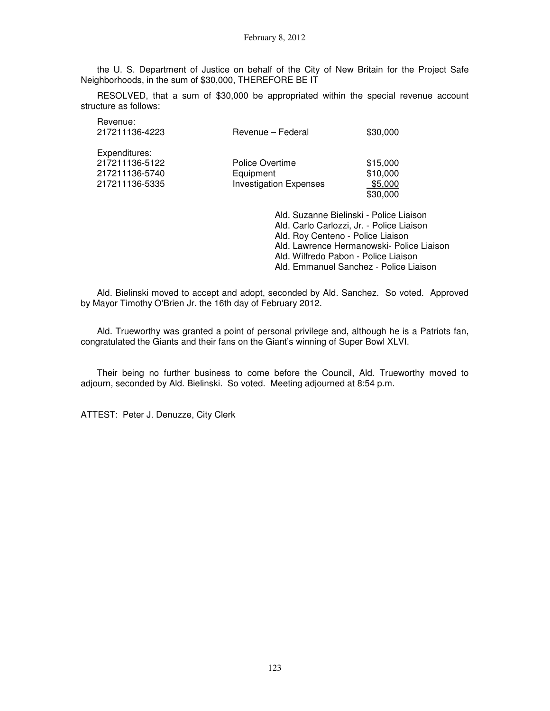the U. S. Department of Justice on behalf of the City of New Britain for the Project Safe Neighborhoods, in the sum of \$30,000, THEREFORE BE IT

RESOLVED, that a sum of \$30,000 be appropriated within the special revenue account structure as follows:

| Revenue:<br>217211136-4223                                          | Revenue – Federal                                             | \$30,000                                    |
|---------------------------------------------------------------------|---------------------------------------------------------------|---------------------------------------------|
| Expenditures:<br>217211136-5122<br>217211136-5740<br>217211136-5335 | Police Overtime<br>Equipment<br><b>Investigation Expenses</b> | \$15,000<br>\$10,000<br>\$5,000<br>\$30,000 |

Ald. Suzanne Bielinski - Police Liaison Ald. Carlo Carlozzi, Jr. - Police Liaison Ald. Roy Centeno - Police Liaison Ald. Lawrence Hermanowski- Police Liaison Ald. Wilfredo Pabon - Police Liaison Ald. Emmanuel Sanchez - Police Liaison

Ald. Bielinski moved to accept and adopt, seconded by Ald. Sanchez. So voted. Approved by Mayor Timothy O'Brien Jr. the 16th day of February 2012.

Ald. Trueworthy was granted a point of personal privilege and, although he is a Patriots fan, congratulated the Giants and their fans on the Giant's winning of Super Bowl XLVI.

Their being no further business to come before the Council, Ald. Trueworthy moved to adjourn, seconded by Ald. Bielinski. So voted. Meeting adjourned at 8:54 p.m.

ATTEST: Peter J. Denuzze, City Clerk